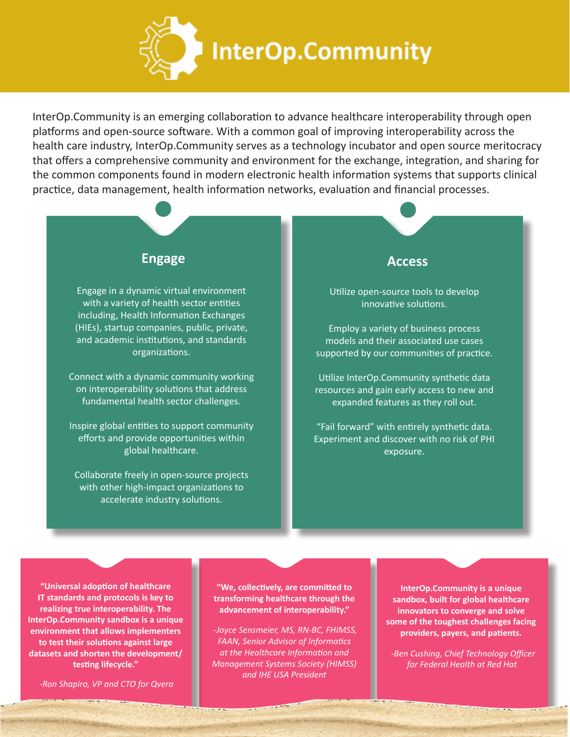

InterOp.Community is an emerging collaboration to advance healthcare interoperability through open platforms and open-source software. With a common goal of improving interoperability across the health care industry, InterOp.Community serves as a technology incubator and open source meritocracy that offers a comprehensive community and environment for the exchange, integration, and sharing for the common components found in modern electronic health information systems that supports clinical practice, data management, health information networks, evaluation and financial processes.

### **Engage Access**

Engage in a dynamic virtual environment with a variety of health sector entities including, Health Information Exchanges (HIEs), startup companies, public, private, and academic institutions, and standards organizations.

Connect with a dynamic community working on interoperability solutions that address fundamental health sector challenges.

Inspire global entities to support community efforts and provide opportunities within global healthcare.

Collaborate freely in open-source projects with other high-impact organizations to accelerate industry solutions.

Utilize open-source tools to develop innovative solutions.

Employ a variety of business process models and their associated use cases supported by our communities of practice.

Utilize InterOp.Community synthetic data resources and gain early access to new and expanded features as they roll out.

"Fail forward" with entirely synthetic data. Experiment and discover with no risk of PHI exposure.

**"Universal adoption of healthcare IT standards and protocols is key to realizing true interoperability. The InterOp.Community sandbox is a unique environment that allows implementers to test their solutions against large datasets and shorten the development/ testing lifecycle."**

*-Ron Shapiro, VP and CTO for Qvera*

**"We, collectively, are committed to transforming healthcare through the advancement of interoperability."**

 *-Joyce Sensmeier, MS, RN-BC, FHIMSS, FAAN, Senior Advisor of Informatics at the Healthcare Information and Management Systems Society (HIMSS) and IHE USA President*

**InterOp.Community is a unique sandbox, built for global healthcare innovators to converge and solve some of the toughest challenges facing providers, payers, and patients.**

 *-Ben Cushing, Chief Technology Officer -Ben Cushing, Chief Technology Officer for Federal Health at Red Hat for Federal Health at Red Hat*